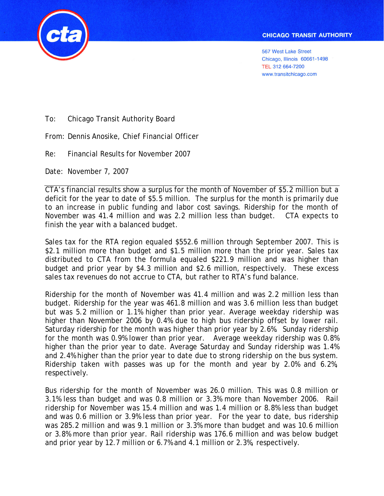**567 West Lake Street** Chicago, Illinois 60661-1498 TEL 312 664-7200 www.transitchicago.com



To: Chicago Transit Authority Board

From: Dennis Anosike, Chief Financial Officer

Re: Financial Results for November 2007

Date: November 7, 2007

CTA's financial results show a surplus for the month of November of \$5.2 million but a deficit for the year to date of \$5.5 million. The surplus for the month is primarily due to an increase in public funding and labor cost savings. Ridership for the month of November was 41.4 million and was 2.2 million less than budget. CTA expects to finish the year with a balanced budget.

Sales tax for the RTA region equaled \$552.6 million through September 2007. This is \$2.1 million more than budget and \$1.5 million more than the prior year. Sales tax distributed to CTA from the formula equaled \$221.9 million and was higher than budget and prior year by \$4.3 million and \$2.6 million, respectively. These excess sales tax revenues do not accrue to CTA, but rather to RTA's fund balance.

Ridership for the month of November was 41.4 million and was 2.2 million less than budget. Ridership for the year was 461.8 million and was 3.6 million less than budget but was 5.2 million or 1.1% higher than prior year. Average weekday ridership was higher than November 2006 by 0.4% due to high bus ridership offset by lower rail. Saturday ridership for the month was higher than prior year by 2.6%. Sunday ridership for the month was 0.9% lower than prior year. Average weekday ridership was 0.8% higher than the prior year to date. Average Saturday and Sunday ridership was 1.4% and 2.4% higher than the prior year to date due to strong ridership on the bus system. Ridership taken with passes was up for the month and year by 2.0% and 6.2%, respectively.

Bus ridership for the month of November was 26.0 million. This was 0.8 million or 3.1% less than budget and was 0.8 million or 3.3% more than November 2006. Rail ridership for November was 15.4 million and was 1.4 million or 8.8% less than budget and was 0.6 million or 3.9% less than prior year. For the year to date, bus ridership was 285.2 million and was 9.1 million or 3.3% more than budget and was 10.6 million or 3.8% more than prior year. Rail ridership was 176.6 million and was below budget and prior year by 12.7 million or 6.7% and 4.1 million or 2.3%, respectively.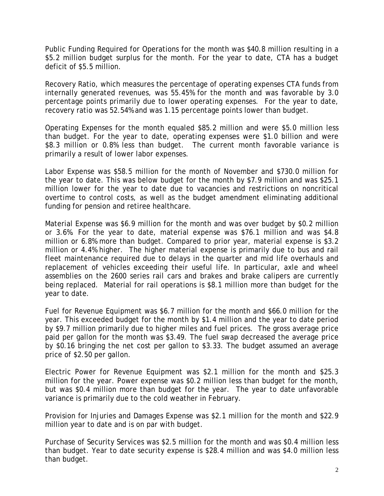Public Funding Required for Operations for the month was \$40.8 million resulting in a \$5.2 million budget surplus for the month. For the year to date, CTA has a budget deficit of \$5.5 million.

Recovery Ratio, which measures the percentage of operating expenses CTA funds from internally generated revenues, was 55.45% for the month and was favorable by 3.0 percentage points primarily due to lower operating expenses. For the year to date, recovery ratio was 52.54% and was 1.15 percentage points lower than budget.

Operating Expenses for the month equaled \$85.2 million and were \$5.0 million less than budget. For the year to date, operating expenses were \$1.0 billion and were \$8.3 million or 0.8% less than budget. The current month favorable variance is primarily a result of lower labor expenses.

Labor Expense was \$58.5 million for the month of November and \$730.0 million for the year to date. This was below budget for the month by \$7.9 million and was \$25.1 million lower for the year to date due to vacancies and restrictions on noncritical overtime to control costs, as well as the budget amendment eliminating additional funding for pension and retiree healthcare.

Material Expense was \$6.9 million for the month and was over budget by \$0.2 million or 3.6%. For the year to date, material expense was \$76.1 million and was \$4.8 million or 6.8% more than budget. Compared to prior year, material expense is \$3.2 million or 4.4% higher. The higher material expense is primarily due to bus and rail fleet maintenance required due to delays in the quarter and mid life overhauls and replacement of vehicles exceeding their useful life. In particular, axle and wheel assemblies on the 2600 series rail cars and brakes and brake calipers are currently being replaced. Material for rail operations is \$8.1 million more than budget for the year to date.

Fuel for Revenue Equipment was \$6.7 million for the month and \$66.0 million for the year. This exceeded budget for the month by \$1.4 million and the year to date period by \$9.7 million primarily due to higher miles and fuel prices. The gross average price paid per gallon for the month was \$3.49. The fuel swap decreased the average price by \$0.16 bringing the net cost per gallon to \$3.33. The budget assumed an average price of \$2.50 per gallon.

Electric Power for Revenue Equipment was \$2.1 million for the month and \$25.3 million for the year. Power expense was \$0.2 million less than budget for the month, but was \$0.4 million more than budget for the year. The year to date unfavorable variance is primarily due to the cold weather in February.

Provision for Injuries and Damages Expense was \$2.1 million for the month and \$22.9 million year to date and is on par with budget.

Purchase of Security Services was \$2.5 million for the month and was \$0.4 million less than budget. Year to date security expense is \$28.4 million and was \$4.0 million less than budget.